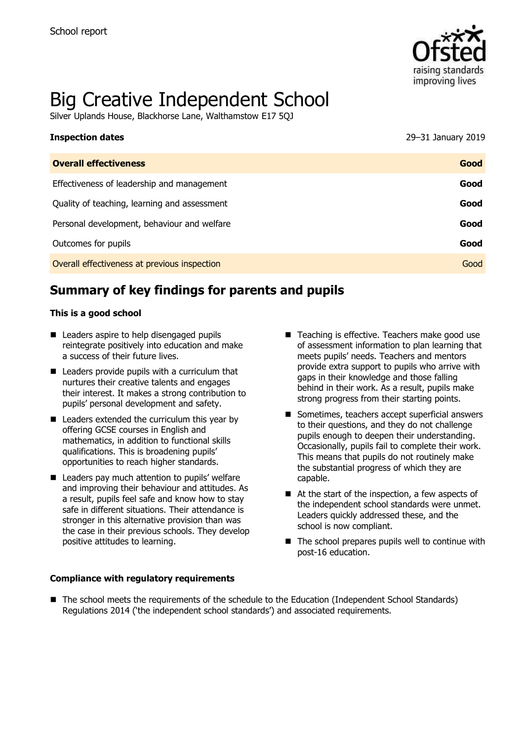

# Big Creative Independent School

Silver Uplands House, Blackhorse Lane, Walthamstow E17 5QJ

| <b>Inspection dates</b>                      | 29-31 January 2019 |
|----------------------------------------------|--------------------|
| <b>Overall effectiveness</b>                 | Good               |
| Effectiveness of leadership and management   | Good               |
| Quality of teaching, learning and assessment | Good               |
| Personal development, behaviour and welfare  | Good               |
| Outcomes for pupils                          | Good               |
| Overall effectiveness at previous inspection | Good               |

# **Summary of key findings for parents and pupils**

#### **This is a good school**

- Leaders aspire to help disengaged pupils reintegrate positively into education and make a success of their future lives.
- Leaders provide pupils with a curriculum that nurtures their creative talents and engages their interest. It makes a strong contribution to pupils' personal development and safety.
- Leaders extended the curriculum this year by offering GCSE courses in English and mathematics, in addition to functional skills qualifications. This is broadening pupils' opportunities to reach higher standards.
- Leaders pay much attention to pupils' welfare and improving their behaviour and attitudes. As a result, pupils feel safe and know how to stay safe in different situations. Their attendance is stronger in this alternative provision than was the case in their previous schools. They develop positive attitudes to learning.
- Teaching is effective. Teachers make good use of assessment information to plan learning that meets pupils' needs. Teachers and mentors provide extra support to pupils who arrive with gaps in their knowledge and those falling behind in their work. As a result, pupils make strong progress from their starting points.
- Sometimes, teachers accept superficial answers to their questions, and they do not challenge pupils enough to deepen their understanding. Occasionally, pupils fail to complete their work. This means that pupils do not routinely make the substantial progress of which they are capable.
- At the start of the inspection, a few aspects of the independent school standards were unmet. Leaders quickly addressed these, and the school is now compliant.
- $\blacksquare$  The school prepares pupils well to continue with post-16 education.

#### **Compliance with regulatory requirements**

■ The school meets the requirements of the schedule to the Education (Independent School Standards) Regulations 2014 ('the independent school standards') and associated requirements.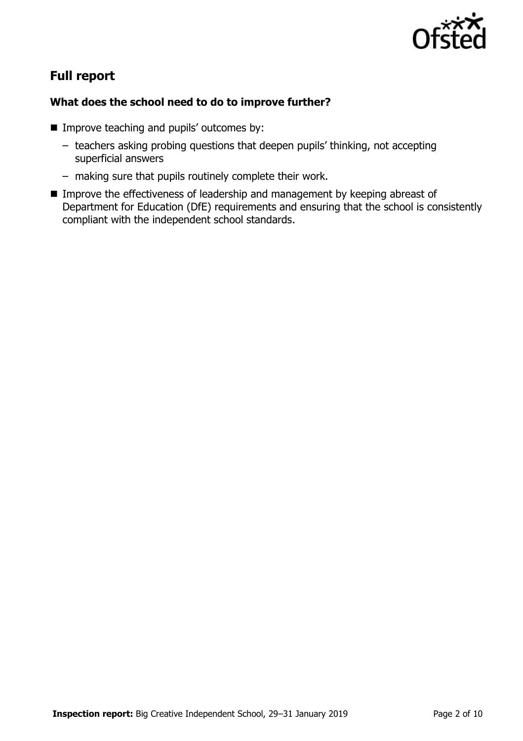

## **Full report**

## **What does the school need to do to improve further?**

- **IMPROPE that incredence** by: **IMPROPE 1** Improve teaching and pupils' outcomes by:
	- teachers asking probing questions that deepen pupils' thinking, not accepting superficial answers
	- making sure that pupils routinely complete their work.
- **IMPROVE THE EFFECTIVENESS OF leadership and management by keeping abreast of** Department for Education (DfE) requirements and ensuring that the school is consistently compliant with the independent school standards.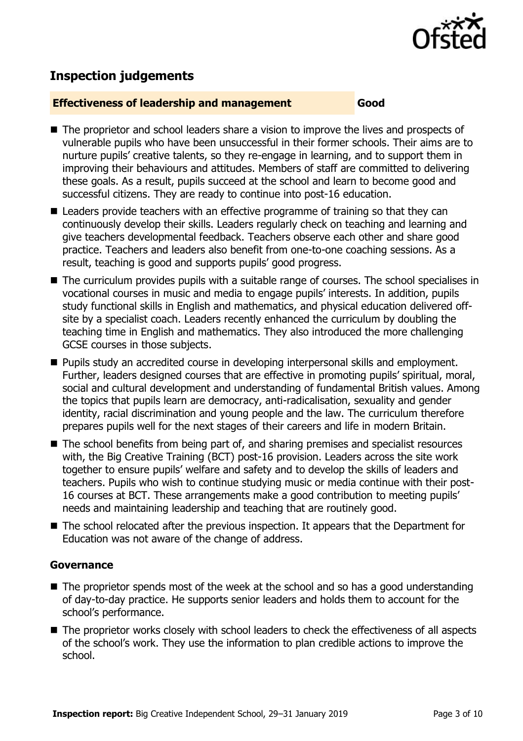

## **Inspection judgements**

#### **Effectiveness of leadership and management Good**

- The proprietor and school leaders share a vision to improve the lives and prospects of vulnerable pupils who have been unsuccessful in their former schools. Their aims are to nurture pupils' creative talents, so they re-engage in learning, and to support them in improving their behaviours and attitudes. Members of staff are committed to delivering these goals. As a result, pupils succeed at the school and learn to become good and successful citizens. They are ready to continue into post-16 education.
- Leaders provide teachers with an effective programme of training so that they can continuously develop their skills. Leaders regularly check on teaching and learning and give teachers developmental feedback. Teachers observe each other and share good practice. Teachers and leaders also benefit from one-to-one coaching sessions. As a result, teaching is good and supports pupils' good progress.
- The curriculum provides pupils with a suitable range of courses. The school specialises in vocational courses in music and media to engage pupils' interests. In addition, pupils study functional skills in English and mathematics, and physical education delivered offsite by a specialist coach. Leaders recently enhanced the curriculum by doubling the teaching time in English and mathematics. They also introduced the more challenging GCSE courses in those subjects.
- **Pupils study an accredited course in developing interpersonal skills and employment.** Further, leaders designed courses that are effective in promoting pupils' spiritual, moral, social and cultural development and understanding of fundamental British values. Among the topics that pupils learn are democracy, anti-radicalisation, sexuality and gender identity, racial discrimination and young people and the law. The curriculum therefore prepares pupils well for the next stages of their careers and life in modern Britain.
- $\blacksquare$  The school benefits from being part of, and sharing premises and specialist resources with, the Big Creative Training (BCT) post-16 provision. Leaders across the site work together to ensure pupils' welfare and safety and to develop the skills of leaders and teachers. Pupils who wish to continue studying music or media continue with their post-16 courses at BCT. These arrangements make a good contribution to meeting pupils' needs and maintaining leadership and teaching that are routinely good.
- The school relocated after the previous inspection. It appears that the Department for Education was not aware of the change of address.

#### **Governance**

- The proprietor spends most of the week at the school and so has a good understanding of day-to-day practice. He supports senior leaders and holds them to account for the school's performance.
- The proprietor works closely with school leaders to check the effectiveness of all aspects of the school's work. They use the information to plan credible actions to improve the school.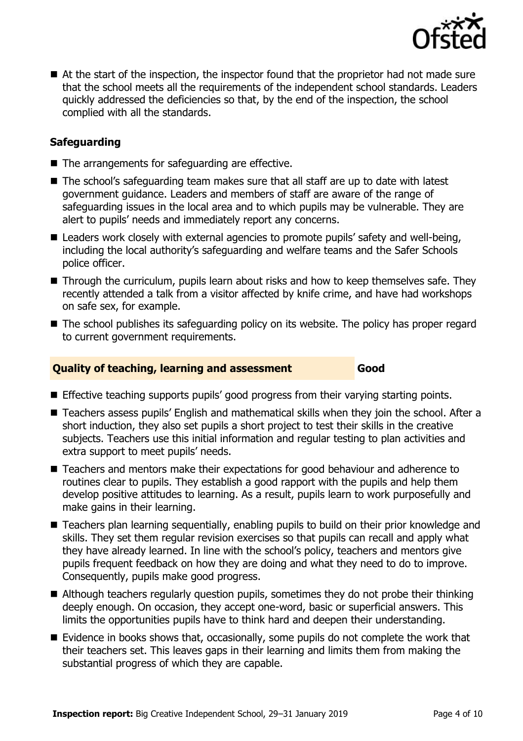

■ At the start of the inspection, the inspector found that the proprietor had not made sure that the school meets all the requirements of the independent school standards. Leaders quickly addressed the deficiencies so that, by the end of the inspection, the school complied with all the standards.

## **Safeguarding**

- $\blacksquare$  The arrangements for safeguarding are effective.
- The school's safeguarding team makes sure that all staff are up to date with latest government guidance. Leaders and members of staff are aware of the range of safeguarding issues in the local area and to which pupils may be vulnerable. They are alert to pupils' needs and immediately report any concerns.
- Leaders work closely with external agencies to promote pupils' safety and well-being, including the local authority's safeguarding and welfare teams and the Safer Schools police officer.
- Through the curriculum, pupils learn about risks and how to keep themselves safe. They recently attended a talk from a visitor affected by knife crime, and have had workshops on safe sex, for example.
- The school publishes its safeguarding policy on its website. The policy has proper regard to current government requirements.

#### **Quality of teaching, learning and assessment Good**

- **Effective teaching supports pupils' good progress from their varying starting points.**
- Teachers assess pupils' English and mathematical skills when they join the school. After a short induction, they also set pupils a short project to test their skills in the creative subjects. Teachers use this initial information and regular testing to plan activities and extra support to meet pupils' needs.
- Teachers and mentors make their expectations for good behaviour and adherence to routines clear to pupils. They establish a good rapport with the pupils and help them develop positive attitudes to learning. As a result, pupils learn to work purposefully and make gains in their learning.
- Teachers plan learning sequentially, enabling pupils to build on their prior knowledge and skills. They set them regular revision exercises so that pupils can recall and apply what they have already learned. In line with the school's policy, teachers and mentors give pupils frequent feedback on how they are doing and what they need to do to improve. Consequently, pupils make good progress.
- Although teachers regularly question pupils, sometimes they do not probe their thinking deeply enough. On occasion, they accept one-word, basic or superficial answers. This limits the opportunities pupils have to think hard and deepen their understanding.
- Evidence in books shows that, occasionally, some pupils do not complete the work that their teachers set. This leaves gaps in their learning and limits them from making the substantial progress of which they are capable.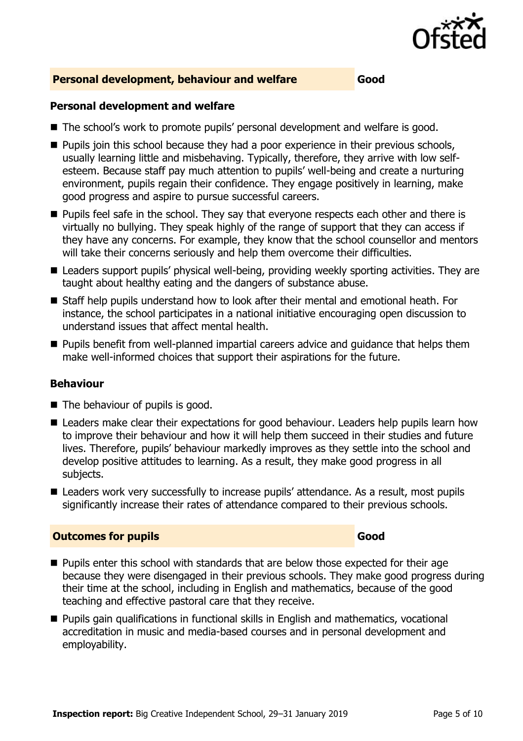

### **Personal development, behaviour and welfare Good**

#### **Personal development and welfare**

- The school's work to promote pupils' personal development and welfare is good.
- **Pupils join this school because they had a poor experience in their previous schools,** usually learning little and misbehaving. Typically, therefore, they arrive with low selfesteem. Because staff pay much attention to pupils' well-being and create a nurturing environment, pupils regain their confidence. They engage positively in learning, make good progress and aspire to pursue successful careers.
- **Pupils feel safe in the school. They say that everyone respects each other and there is** virtually no bullying. They speak highly of the range of support that they can access if they have any concerns. For example, they know that the school counsellor and mentors will take their concerns seriously and help them overcome their difficulties.
- Leaders support pupils' physical well-being, providing weekly sporting activities. They are taught about healthy eating and the dangers of substance abuse.
- Staff help pupils understand how to look after their mental and emotional heath. For instance, the school participates in a national initiative encouraging open discussion to understand issues that affect mental health.
- **Pupils benefit from well-planned impartial careers advice and quidance that helps them** make well-informed choices that support their aspirations for the future.

### **Behaviour**

- The behaviour of pupils is good.
- Leaders make clear their expectations for good behaviour. Leaders help pupils learn how to improve their behaviour and how it will help them succeed in their studies and future lives. Therefore, pupils' behaviour markedly improves as they settle into the school and develop positive attitudes to learning. As a result, they make good progress in all subjects.
- Leaders work very successfully to increase pupils' attendance. As a result, most pupils significantly increase their rates of attendance compared to their previous schools.

### **Outcomes for pupils Good**

- **Pupils enter this school with standards that are below those expected for their age** because they were disengaged in their previous schools. They make good progress during their time at the school, including in English and mathematics, because of the good teaching and effective pastoral care that they receive.
- Pupils gain qualifications in functional skills in English and mathematics, vocational accreditation in music and media-based courses and in personal development and employability.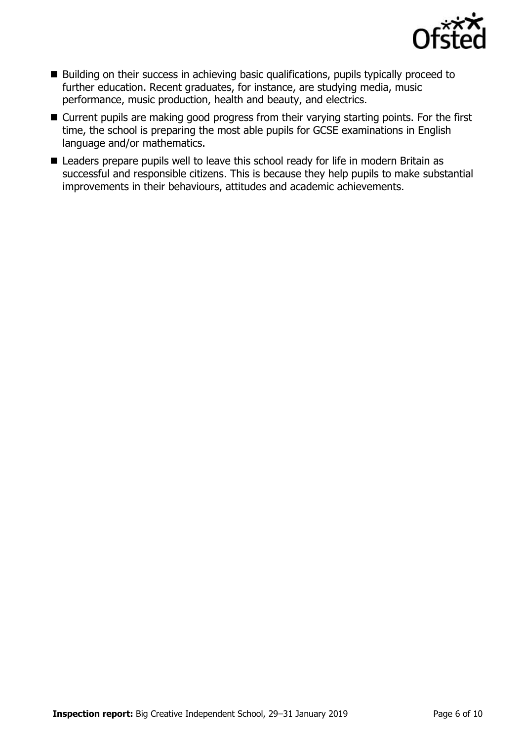

- Building on their success in achieving basic qualifications, pupils typically proceed to further education. Recent graduates, for instance, are studying media, music performance, music production, health and beauty, and electrics.
- Current pupils are making good progress from their varying starting points. For the first time, the school is preparing the most able pupils for GCSE examinations in English language and/or mathematics.
- Leaders prepare pupils well to leave this school ready for life in modern Britain as successful and responsible citizens. This is because they help pupils to make substantial improvements in their behaviours, attitudes and academic achievements.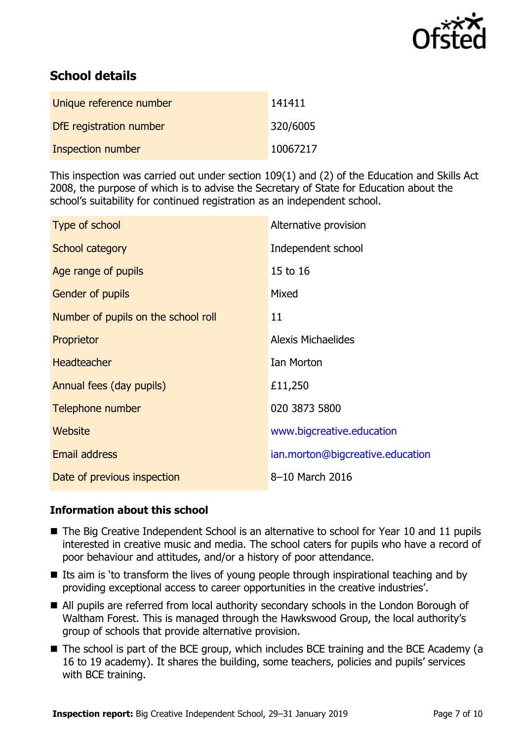

# **School details**

| Unique reference number | 141411   |
|-------------------------|----------|
| DfE registration number | 320/6005 |
| Inspection number       | 10067217 |

This inspection was carried out under section 109(1) and (2) of the Education and Skills Act 2008, the purpose of which is to advise the Secretary of State for Education about the school's suitability for continued registration as an independent school.

| Type of school                      | Alternative provision            |
|-------------------------------------|----------------------------------|
| School category                     | Independent school               |
| Age range of pupils                 | 15 to 16                         |
| Gender of pupils                    | Mixed                            |
| Number of pupils on the school roll | 11                               |
| Proprietor                          | Alexis Michaelides               |
| <b>Headteacher</b>                  | Ian Morton                       |
| Annual fees (day pupils)            | £11,250                          |
| Telephone number                    | 020 3873 5800                    |
| Website                             | www.bigcreative.education        |
| <b>Email address</b>                | ian.morton@bigcreative.education |
| Date of previous inspection         | 8-10 March 2016                  |

### **Information about this school**

- The Big Creative Independent School is an alternative to school for Year 10 and 11 pupils interested in creative music and media. The school caters for pupils who have a record of poor behaviour and attitudes, and/or a history of poor attendance.
- Its aim is 'to transform the lives of young people through inspirational teaching and by providing exceptional access to career opportunities in the creative industries'.
- All pupils are referred from local authority secondary schools in the London Borough of Waltham Forest. This is managed through the Hawkswood Group, the local authority's group of schools that provide alternative provision.
- The school is part of the BCE group, which includes BCE training and the BCE Academy (a 16 to 19 academy). It shares the building, some teachers, policies and pupils' services with BCE training.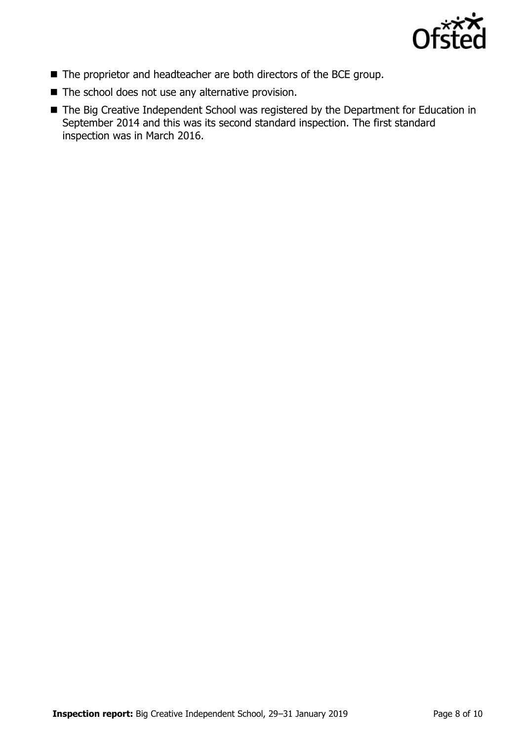

- The proprietor and headteacher are both directors of the BCE group.
- The school does not use any alternative provision.
- The Big Creative Independent School was registered by the Department for Education in September 2014 and this was its second standard inspection. The first standard inspection was in March 2016.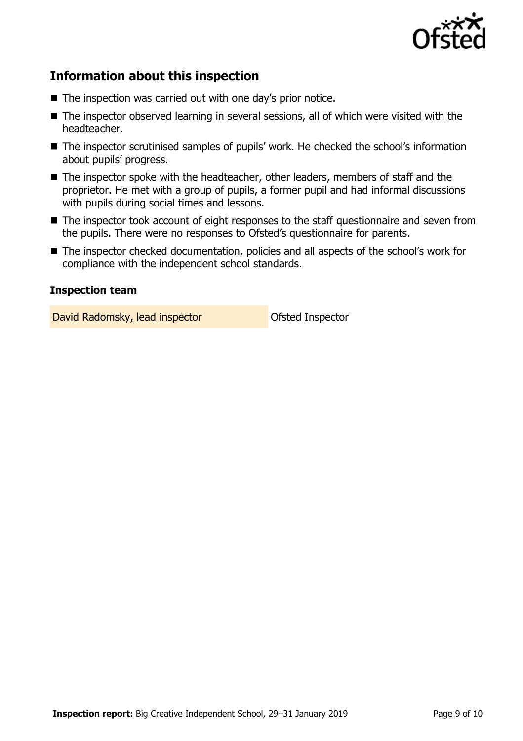

# **Information about this inspection**

- The inspection was carried out with one day's prior notice.
- The inspector observed learning in several sessions, all of which were visited with the headteacher.
- The inspector scrutinised samples of pupils' work. He checked the school's information about pupils' progress.
- The inspector spoke with the headteacher, other leaders, members of staff and the proprietor. He met with a group of pupils, a former pupil and had informal discussions with pupils during social times and lessons.
- The inspector took account of eight responses to the staff questionnaire and seven from the pupils. There were no responses to Ofsted's questionnaire for parents.
- The inspector checked documentation, policies and all aspects of the school's work for compliance with the independent school standards.

#### **Inspection team**

David Radomsky, lead inspector **Canadia** Ofsted Inspector